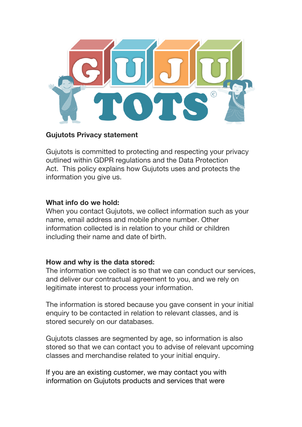

# **Gujutots Privacy statement**

Gujutots is committed to protecting and respecting your privacy outlined within GDPR regulations and the Data Protection Act. This policy explains how Gujutots uses and protects the information you give us.

# **What info do we hold:**

When you contact Gujutots, we collect information such as your name, email address and mobile phone number. Other information collected is in relation to your child or children including their name and date of birth.

# **How and why is the data stored:**

The information we collect is so that we can conduct our services, and deliver our contractual agreement to you, and we rely on legitimate interest to process your information.

The information is stored because you gave consent in your initial enquiry to be contacted in relation to relevant classes, and is stored securely on our databases.

Gujutots classes are segmented by age, so information is also stored so that we can contact you to advise of relevant upcoming classes and merchandise related to your initial enquiry.

If you are an existing customer, we may contact you with information on Gujutots products and services that were